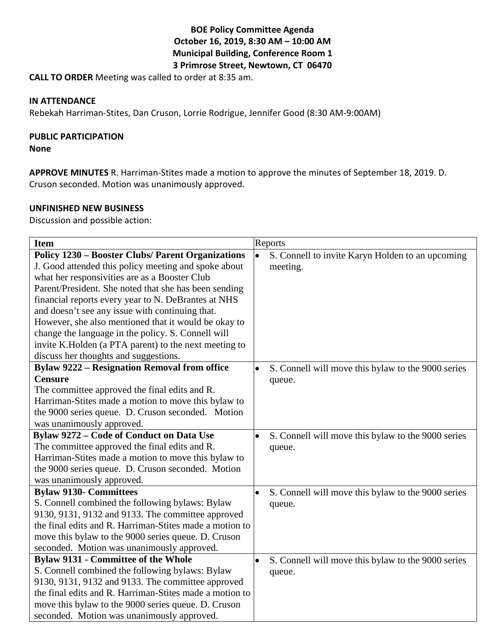## **BOE Policy Committee Agenda October 16, 2019, 8:30 AM – 10:00 AM Municipal Building, Conference Room 1 3 Primrose Street, Newtown, CT 06470**

**CALL TO ORDER** Meeting was called to order at 8:35 am.

#### **IN ATTENDANCE**

Rebekah Harriman-Stites, Dan Cruson, Lorrie Rodrigue, Jennifer Good (8:30 AM-9:00AM)

### **PUBLIC PARTICIPATION**

#### **None**

**APPROVE MINUTES** R. Harriman-Stites made a motion to approve the minutes of September 18, 2019. D. Cruson seconded. Motion was unanimously approved.

#### **UNFINISHED NEW BUSINESS**

Discussion and possible action:

| <b>Item</b>                                              | Reports                                                         |
|----------------------------------------------------------|-----------------------------------------------------------------|
| <b>Policy 1230 – Booster Clubs/ Parent Organizations</b> | $\bullet$<br>S. Connell to invite Karyn Holden to an upcoming   |
| J. Good attended this policy meeting and spoke about     | meeting.                                                        |
| what her responsivities are as a Booster Club            |                                                                 |
| Parent/President. She noted that she has been sending    |                                                                 |
| financial reports every year to N. DeBrantes at NHS      |                                                                 |
| and doesn't see any issue with continuing that.          |                                                                 |
| However, she also mentioned that it would be okay to     |                                                                 |
| change the language in the policy. S. Connell will       |                                                                 |
| invite K.Holden (a PTA parent) to the next meeting to    |                                                                 |
| discuss her thoughts and suggestions.                    |                                                                 |
| <b>Bylaw 9222 - Resignation Removal from office</b>      | $\bullet$<br>S. Connell will move this bylaw to the 9000 series |
| <b>Censure</b>                                           | queue.                                                          |
| The committee approved the final edits and R.            |                                                                 |
| Harriman-Stites made a motion to move this bylaw to      |                                                                 |
| the 9000 series queue. D. Cruson seconded. Motion        |                                                                 |
| was unanimously approved.                                |                                                                 |
| Bylaw 9272 – Code of Conduct on Data Use                 | S. Connell will move this bylaw to the 9000 series<br>$\bullet$ |
| The committee approved the final edits and R.            | queue.                                                          |
| Harriman-Stites made a motion to move this bylaw to      |                                                                 |
| the 9000 series queue. D. Cruson seconded. Motion        |                                                                 |
| was unanimously approved.                                |                                                                 |
| <b>Bylaw 9130- Committees</b>                            | S. Connell will move this bylaw to the 9000 series              |
| S. Connell combined the following bylaws: Bylaw          | queue.                                                          |
| 9130, 9131, 9132 and 9133. The committee approved        |                                                                 |
| the final edits and R. Harriman-Stites made a motion to  |                                                                 |
| move this bylaw to the 9000 series queue. D. Cruson      |                                                                 |
| seconded. Motion was unanimously approved.               |                                                                 |
| <b>Bylaw 9131 - Committee of the Whole</b>               | S. Connell will move this bylaw to the 9000 series<br>$\bullet$ |
| S. Connell combined the following bylaws: Bylaw          | queue.                                                          |
| 9130, 9131, 9132 and 9133. The committee approved        |                                                                 |
| the final edits and R. Harriman-Stites made a motion to  |                                                                 |
| move this bylaw to the 9000 series queue. D. Cruson      |                                                                 |
| seconded. Motion was unanimously approved.               |                                                                 |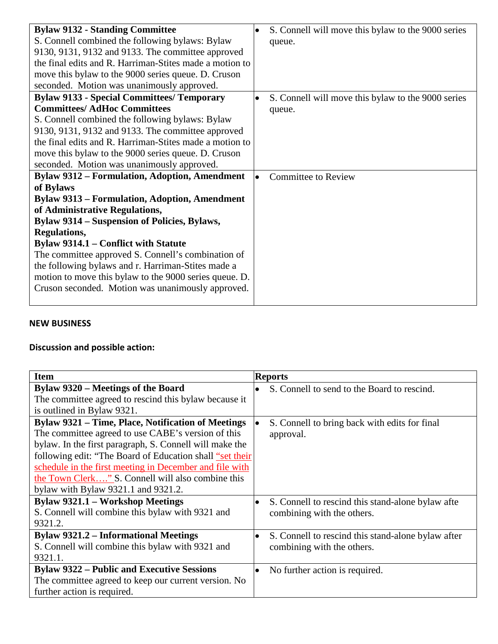| <b>Bylaw 9132 - Standing Committee</b>                  | S. Connell will move this bylaw to the 9000 series |
|---------------------------------------------------------|----------------------------------------------------|
| S. Connell combined the following bylaws: Bylaw         | queue.                                             |
| 9130, 9131, 9132 and 9133. The committee approved       |                                                    |
| the final edits and R. Harriman-Stites made a motion to |                                                    |
| move this bylaw to the 9000 series queue. D. Cruson     |                                                    |
| seconded. Motion was unanimously approved.              |                                                    |
| <b>Bylaw 9133 - Special Committees/ Temporary</b>       | S. Connell will move this bylaw to the 9000 series |
| <b>Committees/ AdHoc Committees</b>                     | queue.                                             |
| S. Connell combined the following bylaws: Bylaw         |                                                    |
| 9130, 9131, 9132 and 9133. The committee approved       |                                                    |
| the final edits and R. Harriman-Stites made a motion to |                                                    |
| move this bylaw to the 9000 series queue. D. Cruson     |                                                    |
| seconded. Motion was unanimously approved.              |                                                    |
| <b>Bylaw 9312 – Formulation, Adoption, Amendment</b>    | <b>Committee to Review</b>                         |
| of Bylaws                                               |                                                    |
| <b>Bylaw 9313 - Formulation, Adoption, Amendment</b>    |                                                    |
| of Administrative Regulations,                          |                                                    |
| <b>Bylaw 9314 – Suspension of Policies, Bylaws,</b>     |                                                    |
| <b>Regulations,</b>                                     |                                                    |
| Bylaw 9314.1 – Conflict with Statute                    |                                                    |
| The committee approved S. Connell's combination of      |                                                    |
| the following bylaws and r. Harriman-Stites made a      |                                                    |
| motion to move this bylaw to the 9000 series queue. D.  |                                                    |
| Cruson seconded. Motion was unanimously approved.       |                                                    |
|                                                         |                                                    |

## **NEW BUSINESS**

# **Discussion and possible action:**

| <b>Item</b>                                               | <b>Reports</b>                                                   |
|-----------------------------------------------------------|------------------------------------------------------------------|
| Bylaw 9320 – Meetings of the Board                        | S. Connell to send to the Board to rescind.<br>$\bullet$         |
| The committee agreed to rescind this bylaw because it     |                                                                  |
| is outlined in Bylaw 9321.                                |                                                                  |
| <b>Bylaw 9321 – Time, Place, Notification of Meetings</b> | S. Connell to bring back with edits for final                    |
| The committee agreed to use CABE's version of this        | approval.                                                        |
| bylaw. In the first paragraph, S. Connell will make the   |                                                                  |
| following edit: "The Board of Education shall "set their  |                                                                  |
| schedule in the first meeting in December and file with   |                                                                  |
| the Town Clerk" S. Connell will also combine this         |                                                                  |
| bylaw with Bylaw $9321.1$ and $9321.2$ .                  |                                                                  |
| <b>Bylaw 9321.1 – Workshop Meetings</b>                   | S. Connell to rescind this stand-alone by law after<br>$\bullet$ |
| S. Connell will combine this bylaw with 9321 and          | combining with the others.                                       |
| 9321.2.                                                   |                                                                  |
| <b>Bylaw 9321.2 – Informational Meetings</b>              | S. Connell to rescind this stand-alone bylaw after<br>$\bullet$  |
| S. Connell will combine this bylaw with 9321 and          | combining with the others.                                       |
| 9321.1.                                                   |                                                                  |
| <b>Bylaw 9322 – Public and Executive Sessions</b>         | No further action is required.<br>$\bullet$                      |
| The committee agreed to keep our current version. No      |                                                                  |
| further action is required.                               |                                                                  |